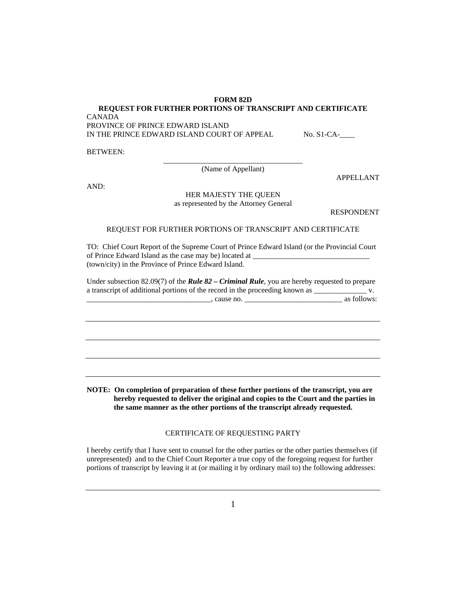**FORM 82D** 

## **REQUEST FOR FURTHER PORTIONS OF TRANSCRIPT AND CERTIFICATE**

CANADA

PROVINCE OF PRINCE EDWARD ISLAND IN THE PRINCE EDWARD ISLAND COURT OF APPEAL No. S1-CA-

BETWEEN:

\_\_\_\_\_\_\_\_\_\_\_\_\_\_\_\_\_\_\_\_\_\_\_\_\_\_\_\_\_\_\_\_\_\_\_\_\_ (Name of Appellant)

AND:

## HER MAJESTY THE QUEEN as represented by the Attorney General

RESPONDENT

APPELLANT

## REQUEST FOR FURTHER PORTIONS OF TRANSCRIPT AND CERTIFICATE

TO: Chief Court Report of the Supreme Court of Prince Edward Island (or the Provincial Court of Prince Edward Island as the case may be) located at \_\_\_\_\_\_\_\_\_\_\_\_\_\_\_\_\_\_\_\_\_\_\_\_\_\_\_\_\_\_\_ (town/city) in the Province of Prince Edward Island.

Under subsection 82.09(7) of the *Rule 82 – Criminal Rule*, you are hereby requested to prepare a transcript of additional portions of the record in the proceeding known as \_\_\_\_\_\_\_\_\_\_\_\_\_\_\_\_\_\_\_\_\_\_ v.

| cause no. | as follows: |
|-----------|-------------|
|           |             |

**NOTE: On completion of preparation of these further portions of the transcript, you are hereby requested to deliver the original and copies to the Court and the parties in the same manner as the other portions of the transcript already requested.** 

## CERTIFICATE OF REQUESTING PARTY

I hereby certify that I have sent to counsel for the other parties or the other parties themselves (if unrepresented) and to the Chief Court Reporter a true copy of the foregoing request for further portions of transcript by leaving it at (or mailing it by ordinary mail to) the following addresses: